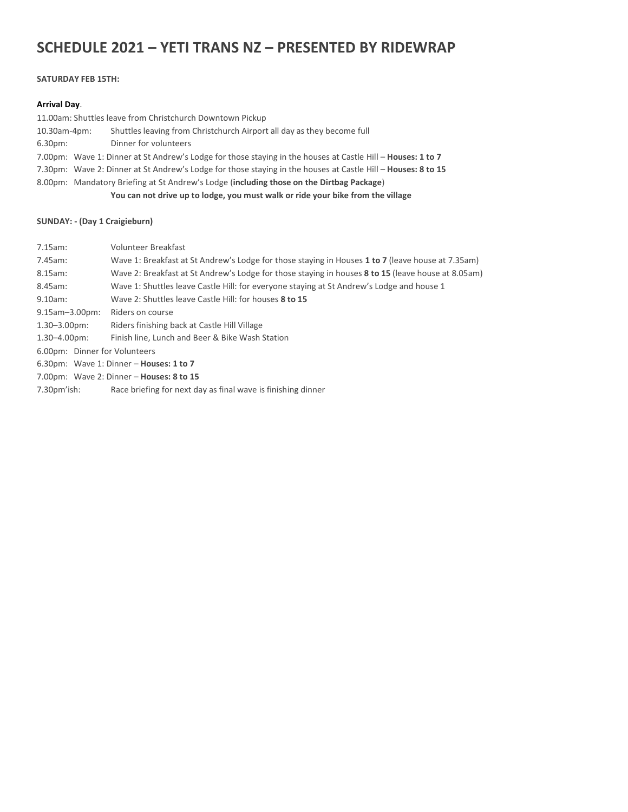# **SCHEDULE 2021 – YETI TRANS NZ – PRESENTED BY RIDEWRAP**

#### **SATURDAY FEB 15TH:**

#### **Arrival Day**.

11.00am: Shuttles leave from Christchurch Downtown Pickup

- 10.30am-4pm: Shuttles leaving from Christchurch Airport all day as they become full
- 6.30pm: Dinner for volunteers
- 7.00pm: Wave 1: Dinner at St Andrew's Lodge for those staying in the houses at Castle Hill **Houses: 1 to 7**
- 7.30pm: Wave 2: Dinner at St Andrew's Lodge for those staying in the houses at Castle Hill **Houses: 8 to 15**

8.00pm: Mandatory Briefing at St Andrew's Lodge (**including those on the Dirtbag Package**)

**You can not drive up to lodge, you must walk or ride your bike from the village**

## **SUNDAY: - (Day 1 Craigieburn)**

7.15am: Volunteer Breakfast 7.45am: Wave 1: Breakfast at St Andrew's Lodge for those staying in Houses **1 to 7** (leave house at 7.35am) 8.15am: Wave 2: Breakfast at St Andrew's Lodge for those staying in houses **8 to 15** (leave house at 8.05am) 8.45am: Wave 1: Shuttles leave Castle Hill: for everyone staying at St Andrew's Lodge and house 1 9.10am: Wave 2: Shuttles leave Castle Hill: for houses **8 to 15** 9.15am–3.00pm: Riders on course 1.30–3.00pm: Riders finishing back at Castle Hill Village 1.30–4.00pm: Finish line, Lunch and Beer & Bike Wash Station 6.00pm: Dinner for Volunteers 6.30pm: Wave 1: Dinner – **Houses: 1 to 7** 7.00pm: Wave 2: Dinner – **Houses: 8 to 15** 7.30pm'ish: Race briefing for next day as final wave is finishing dinner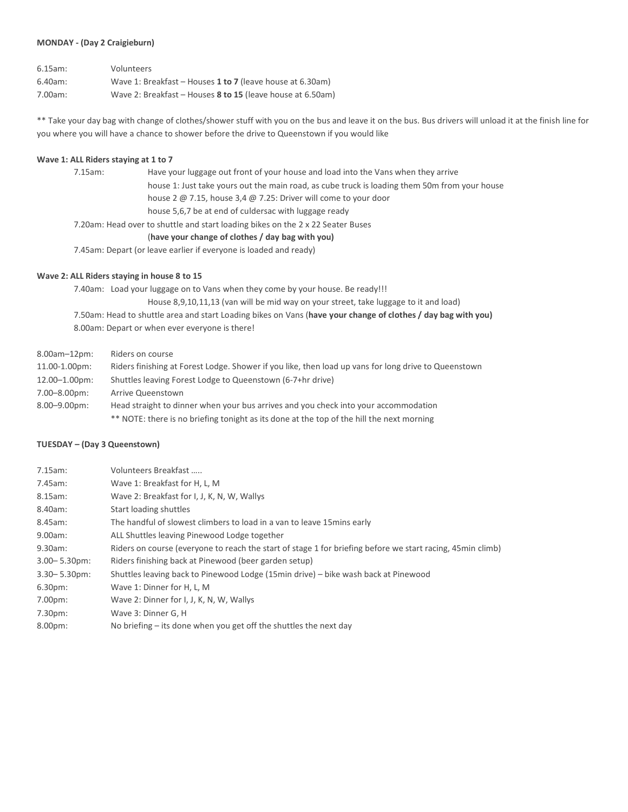#### **MONDAY - (Day 2 Craigieburn)**

| $6.15$ am: | Volunteers                                                 |
|------------|------------------------------------------------------------|
| $6.40$ am: | Wave 1: Breakfast – Houses 1 to 7 (leave house at 6.30am)  |
| 7.00am:    | Wave 2: Breakfast – Houses 8 to 15 (leave house at 6.50am) |

\*\* Take your day bag with change of clothes/shower stuff with you on the bus and leave it on the bus. Bus drivers will unload it at the finish line for you where you will have a chance to shower before the drive to Queenstown if you would like

#### **Wave 1: ALL Riders staying at 1 to 7**

|                                                                                 | $7.15$ am: | Have your luggage out front of your house and load into the Vans when they arrive             |
|---------------------------------------------------------------------------------|------------|-----------------------------------------------------------------------------------------------|
|                                                                                 |            | house 1: Just take yours out the main road, as cube truck is loading them 50m from your house |
|                                                                                 |            | house 2 $\omega$ 7.15, house 3,4 $\omega$ 7.25: Driver will come to your door                 |
|                                                                                 |            | house 5,6,7 be at end of culdersac with luggage ready                                         |
| 7.20am: Head over to shuttle and start loading bikes on the 2 x 22 Seater Buses |            |                                                                                               |
|                                                                                 |            | (have your change of clothes / day bag with you)                                              |
|                                                                                 |            |                                                                                               |

7.45am: Depart (or leave earlier if everyone is loaded and ready)

### **Wave 2: ALL Riders staying in house 8 to 15**

7.40am: Load your luggage on to Vans when they come by your house. Be ready!!! House 8,9,10,11,13 (van will be mid way on your street, take luggage to it and load) 7.50am: Head to shuttle area and start Loading bikes on Vans (**have your change of clothes / day bag with you)** 8.00am: Depart or when ever everyone is there!

| 8.00am-12pm:       | Riders on course                                                                                     |
|--------------------|------------------------------------------------------------------------------------------------------|
| 11.00-1.00pm:      | Riders finishing at Forest Lodge. Shower if you like, then load up vans for long drive to Queenstown |
| $12.00 - 1.00$ pm: | Shuttles leaving Forest Lodge to Queenstown (6-7+hr drive)                                           |
| $7.00 - 8.00$ pm:  | Arrive Queenstown                                                                                    |
| $8.00 - 9.00$ pm:  | Head straight to dinner when your bus arrives and you check into your accommodation                  |
|                    | ** NOTE: there is no briefing tonight as its done at the top of the hill the next morning            |

#### **TUESDAY – (Day 3 Queenstown)**

| 7.15am:           | Volunteers Breakfast                                                                                       |
|-------------------|------------------------------------------------------------------------------------------------------------|
| $7.45$ am:        | Wave 1: Breakfast for H, L, M                                                                              |
| $8.15$ am:        | Wave 2: Breakfast for I, J, K, N, W, Wallys                                                                |
| 8.40am:           | Start loading shuttles                                                                                     |
| 8.45am:           | The handful of slowest climbers to load in a van to leave 15 mins early                                    |
| 9.00am:           | ALL Shuttles leaving Pinewood Lodge together                                                               |
| $9.30$ am:        | Riders on course (everyone to reach the start of stage 1 for briefing before we start racing, 45min climb) |
| $3.00 - 5.30$ pm: | Riders finishing back at Pinewood (beer garden setup)                                                      |
| $3.30 - 5.30$ pm: | Shuttles leaving back to Pinewood Lodge (15min drive) – bike wash back at Pinewood                         |
| $6.30pm$ :        | Wave 1: Dinner for H, L, M                                                                                 |
| $7.00pm$ :        | Wave 2: Dinner for I, J, K, N, W, Wallys                                                                   |
| 7.30pm:           | Wave 3: Dinner G, H                                                                                        |
| 8.00pm:           | No briefing $-$ its done when you get off the shuttles the next day                                        |